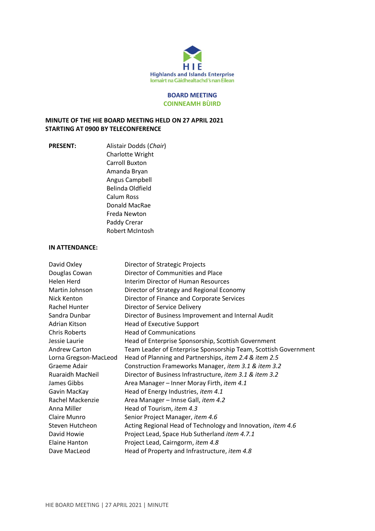

#### **BOARD MEETING COINNEAMH BÙIRD**

## **MINUTE OF THE HIE BOARD MEETING HELD ON 27 APRIL 2021 STARTING AT 0900 BY TELECONFERENCE**

**PRESENT:** Alistair Dodds (*Chair*) Charlotte Wright Carroll Buxton Amanda Bryan Angus Campbell Belinda Oldfield Calum Ross Donald MacRae Freda Newton Paddy Crerar Robert McIntosh

#### **IN ATTENDANCE:**

| David Oxley           | Director of Strategic Projects                                  |
|-----------------------|-----------------------------------------------------------------|
| Douglas Cowan         | Director of Communities and Place                               |
| Helen Herd            | Interim Director of Human Resources                             |
| Martin Johnson        | Director of Strategy and Regional Economy                       |
| Nick Kenton           | Director of Finance and Corporate Services                      |
| Rachel Hunter         | Director of Service Delivery                                    |
| Sandra Dunbar         | Director of Business Improvement and Internal Audit             |
| Adrian Kitson         | <b>Head of Executive Support</b>                                |
| <b>Chris Roberts</b>  | <b>Head of Communications</b>                                   |
| Jessie Laurie         | Head of Enterprise Sponsorship, Scottish Government             |
| <b>Andrew Carton</b>  | Team Leader of Enterprise Sponsorship Team, Scottish Government |
| Lorna Gregson-MacLeod | Head of Planning and Partnerships, item 2.4 & item 2.5          |
| Graeme Adair          | Construction Frameworks Manager, item 3.1 & item 3.2            |
| Ruaraidh MacNeil      | Director of Business Infrastructure, item 3.1 & item 3.2        |
| James Gibbs           | Area Manager - Inner Moray Firth, item 4.1                      |
| Gavin MacKay          | Head of Energy Industries, item 4.1                             |
| Rachel Mackenzie      | Area Manager - Innse Gall, item 4.2                             |
| Anna Miller           | Head of Tourism, item 4.3                                       |
| Claire Munro          | Senior Project Manager, item 4.6                                |
| Steven Hutcheon       | Acting Regional Head of Technology and Innovation, item 4.6     |
| David Howie           | Project Lead, Space Hub Sutherland item 4.7.1                   |
| <b>Elaine Hanton</b>  | Project Lead, Cairngorm, item 4.8                               |
| Dave MacLeod          | Head of Property and Infrastructure, <i>item 4.8</i>            |
|                       |                                                                 |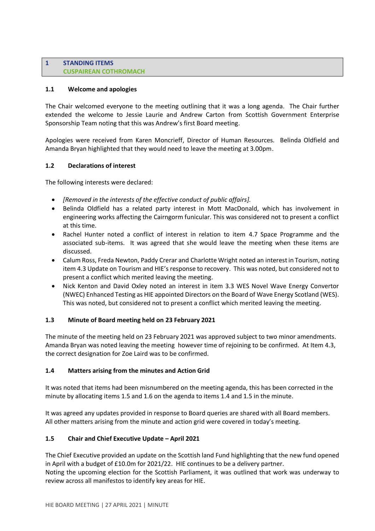### **1 STANDING ITEMS CUSPAIREAN COTHROMACH**

## **1.1 Welcome and apologies**

The Chair welcomed everyone to the meeting outlining that it was a long agenda. The Chair further extended the welcome to Jessie Laurie and Andrew Carton from Scottish Government Enterprise Sponsorship Team noting that this was Andrew's first Board meeting.

Apologies were received from Karen Moncrieff, Director of Human Resources. Belinda Oldfield and Amanda Bryan highlighted that they would need to leave the meeting at 3.00pm.

## **1.2 Declarations of interest**

The following interests were declared:

- *[Removed in the interests of the effective conduct of public affairs].*
- Belinda Oldfield has a related party interest in Mott MacDonald, which has involvement in engineering works affecting the Cairngorm funicular. This was considered not to present a conflict at this time.
- Rachel Hunter noted a conflict of interest in relation to item 4.7 Space Programme and the associated sub-items. It was agreed that she would leave the meeting when these items are discussed.
- Calum Ross, Freda Newton, Paddy Crerar and Charlotte Wright noted an interest in Tourism, noting item 4.3 Update on Tourism and HIE's response to recovery. This was noted, but considered not to present a conflict which merited leaving the meeting.
- Nick Kenton and David Oxley noted an interest in item 3.3 WES Novel Wave Energy Convertor (NWEC) Enhanced Testing as HIE appointed Directors on the Board of Wave Energy Scotland (WES). This was noted, but considered not to present a conflict which merited leaving the meeting.

# **1.3 Minute of Board meeting held on 23 February 2021**

The minute of the meeting held on 23 February 2021 was approved subject to two minor amendments. Amanda Bryan was noted leaving the meeting however time of rejoining to be confirmed. At Item 4.3, the correct designation for Zoe Laird was to be confirmed.

#### **1.4 Matters arising from the minutes and Action Grid**

It was noted that items had been misnumbered on the meeting agenda, this has been corrected in the minute by allocating items 1.5 and 1.6 on the agenda to items 1.4 and 1.5 in the minute.

It was agreed any updates provided in response to Board queries are shared with all Board members. All other matters arising from the minute and action grid were covered in today's meeting.

#### **1.5 Chair and Chief Executive Update – April 2021**

The Chief Executive provided an update on the Scottish land Fund highlighting that the new fund opened in April with a budget of £10.0m for 2021/22. HIE continues to be a delivery partner. Noting the upcoming election for the Scottish Parliament, it was outlined that work was underway to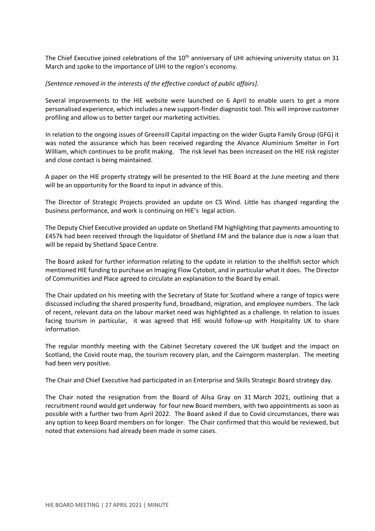The Chief Executive joined celebrations of the 10<sup>th</sup> anniversary of UHI achieving university status on 31 March and spoke to the importance of UHI to the region's economy.

### *[Sentence removed in the interests of the effective conduct of public affairs].*

Several improvements to the HIE website were launched on 6 April to enable users to get a more personalised experience, which includes a new support-finder diagnostic tool. This will improve customer profiling and allow us to better target our marketing activities.

In relation to the ongoing issues of Greensill Capital impacting on the wider Gupta Family Group (GFG) it was noted the assurance which has been received regarding the Alvance Aluminium Smelter in Fort William, which continues to be profit making. The risk level has been increased on the HIE risk register and close contact is being maintained.

A paper on the HIE property strategy will be presented to the HIE Board at the June meeting and there will be an opportunity for the Board to input in advance of this.

The Director of Strategic Projects provided an update on CS Wind. Little has changed regarding the business performance, and work is continuing on HIE's legal action.

The Deputy Chief Executive provided an update on Shetland FM highlighting that payments amounting to £457k had been received through the liquidator of Shetland FM and the balance due is now a loan that will be repaid by Shetland Space Centre.

The Board asked for further information relating to the update in relation to the shellfish sector which mentioned HIE funding to purchase an Imaging Flow Cytobot, and in particular what it does. The Director of Communities and Place agreed to circulate an explanation to the Board by email.

The Chair updated on his meeting with the Secretary of State for Scotland where a range of topics were discussed including the shared prosperity fund, broadband, migration, and employee numbers. The lack of recent, relevant data on the labour market need was highlighted as a challenge. In relation to issues facing tourism in particular, it was agreed that HIE would follow-up with Hospitality UK to share information.

The regular monthly meeting with the Cabinet Secretary covered the UK budget and the impact on Scotland, the Covid route map, the tourism recovery plan, and the Cairngorm masterplan. The meeting had been very positive.

The Chair and Chief Executive had participated in an Enterprise and Skills Strategic Board strategy day.

The Chair noted the resignation from the Board of Ailsa Gray on 31 March 2021, outlining that a recruitment round would get underway for four new Board members, with two appointments as soon as possible with a further two from April 2022. The Board asked if due to Covid circumstances, there was any option to keep Board members on for longer. The Chair confirmed that this would be reviewed, but noted that extensions had already been made in some cases.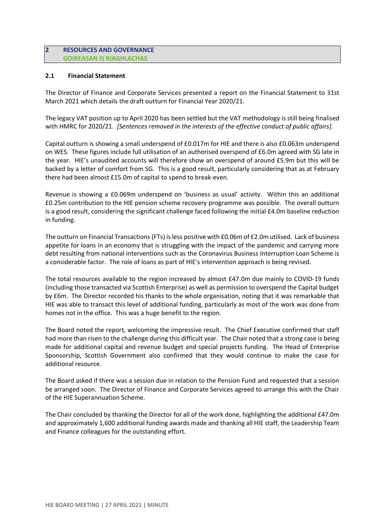### **2 RESOURCES AND GOVERNANCE GOIREASAN IS RIAGHLACHAS**

### **2.1 Financial Statement**

The Director of Finance and Corporate Services presented a report on the Financial Statement to 31st March 2021 which details the draft outturn for Financial Year 2020/21.

The legacy VAT position up to April 2020 has been settled but the VAT methodology is still being finalised with HMRC for 2020/21. *[Sentences removed in the interests of the effective conduct of public affairs].*

Capital outturn is showing a small underspend of £0.017m for HIE and there is also £0.063m underspend on WES. These figures include full utilisation of an authorised overspend of £6.0m agreed with SG late in the year. HIE's unaudited accounts will therefore show an overspend of around £5.9m but this will be backed by a letter of comfort from SG. This is a good result, particularly considering that as at February there had been almost £15.0m of capital to spend to break-even.

Revenue is showing a £0.069m underspend on 'business as usual' activity. Within this an additional £0.25m contribution to the HIE pension scheme recovery programme was possible. The overall outturn is a good result, considering the significant challenge faced following the initial £4.0m baseline reduction in funding.

The outturn on Financial Transactions (FTs) is less positive with £0.06m of £2.0m utilised. Lack of business appetite for loans in an economy that is struggling with the impact of the pandemic and carrying more debt resulting from national interventions such as the Coronavirus Business Interruption Loan Scheme is a considerable factor. The role of loans as part of HIE's intervention approach is being revised.

The total resources available to the region increased by almost £47.0m due mainly to COVID-19 funds (including those transacted via Scottish Enterprise) as well as permission to overspend the Capital budget by £6m. The Director recorded his thanks to the whole organisation, noting that it was remarkable that HIE was able to transact this level of additional funding, particularly as most of the work was done from homes not in the office. This was a huge benefit to the region.

The Board noted the report, welcoming the impressive result. The Chief Executive confirmed that staff had more than risen to the challenge during this difficult year. The Chair noted that a strong case is being made for additional capital and revenue budget and special projects funding. The Head of Enterprise Sponsorship, Scottish Government also confirmed that they would continue to make the case for additional resource.

The Board asked if there was a session due in relation to the Pension Fund and requested that a session be arranged soon. The Director of Finance and Corporate Services agreed to arrange this with the Chair of the HIE Superannuation Scheme.

The Chair concluded by thanking the Director for all of the work done, highlighting the additional £47.0m and approximately 1,600 additional funding awards made and thanking all HIE staff, the Leadership Team and Finance colleagues for the outstanding effort.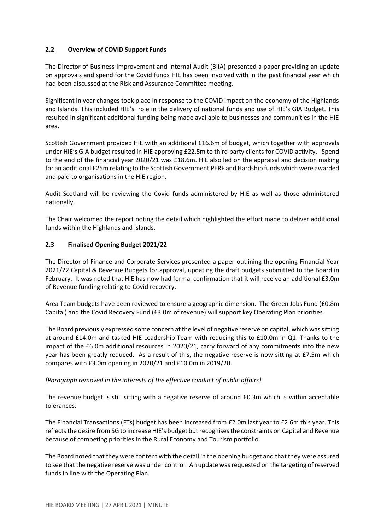## **2.2 Overview of COVID Support Funds**

The Director of Business Improvement and Internal Audit (BIIA) presented a paper providing an update on approvals and spend for the Covid funds HIE has been involved with in the past financial year which had been discussed at the Risk and Assurance Committee meeting.

Significant in year changes took place in response to the COVID impact on the economy of the Highlands and Islands. This included HIE's role in the delivery of national funds and use of HIE's GIA Budget. This resulted in significant additional funding being made available to businesses and communities in the HIE area.

Scottish Government provided HIE with an additional £16.6m of budget, which together with approvals under HIE's GIA budget resulted in HIE approving £22.5m to third party clients for COVID activity. Spend to the end of the financial year 2020/21 was £18.6m. HIE also led on the appraisal and decision making for an additional £25m relating to the Scottish Government PERF and Hardship funds which were awarded and paid to organisations in the HIE region.

Audit Scotland will be reviewing the Covid funds administered by HIE as well as those administered nationally.

The Chair welcomed the report noting the detail which highlighted the effort made to deliver additional funds within the Highlands and Islands.

## **2.3 Finalised Opening Budget 2021/22**

The Director of Finance and Corporate Services presented a paper outlining the opening Financial Year 2021/22 Capital & Revenue Budgets for approval, updating the draft budgets submitted to the Board in February. It was noted that HIE has now had formal confirmation that it will receive an additional £3.0m of Revenue funding relating to Covid recovery.

Area Team budgets have been reviewed to ensure a geographic dimension. The Green Jobs Fund (£0.8m Capital) and the Covid Recovery Fund (£3.0m of revenue) will support key Operating Plan priorities.

The Board previously expressed some concern at the level of negative reserve on capital, which was sitting at around £14.0m and tasked HIE Leadership Team with reducing this to £10.0m in Q1. Thanks to the impact of the £6.0m additional resources in 2020/21, carry forward of any commitments into the new year has been greatly reduced. As a result of this, the negative reserve is now sitting at £7.5m which compares with £3.0m opening in 2020/21 and £10.0m in 2019/20.

#### *[Paragraph removed in the interests of the effective conduct of public affairs].*

The revenue budget is still sitting with a negative reserve of around £0.3m which is within acceptable tolerances.

The Financial Transactions (FTs) budget has been increased from £2.0m last year to £2.6m this year. This reflects the desire from SG to increase HIE's budget but recognises the constraints on Capital and Revenue because of competing priorities in the Rural Economy and Tourism portfolio.

The Board noted that they were content with the detail in the opening budget and that they were assured to see that the negative reserve was under control. An update was requested on the targeting of reserved funds in line with the Operating Plan.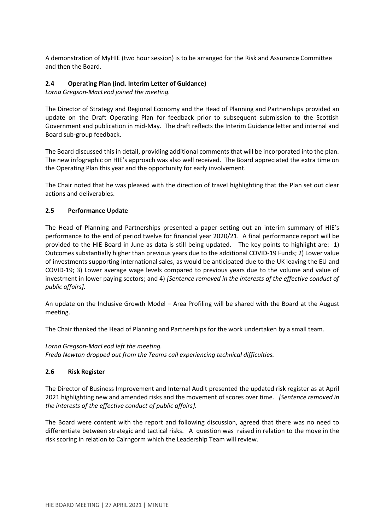A demonstration of MyHIE (two hour session) is to be arranged for the Risk and Assurance Committee and then the Board.

## **2.4 Operating Plan (incl. Interim Letter of Guidance)**

*Lorna Gregson-MacLeod joined the meeting.*

The Director of Strategy and Regional Economy and the Head of Planning and Partnerships provided an update on the Draft Operating Plan for feedback prior to subsequent submission to the Scottish Government and publication in mid-May. The draft reflects the Interim Guidance letter and internal and Board sub-group feedback.

The Board discussed this in detail, providing additional comments that will be incorporated into the plan. The new infographic on HIE's approach was also well received. The Board appreciated the extra time on the Operating Plan this year and the opportunity for early involvement.

The Chair noted that he was pleased with the direction of travel highlighting that the Plan set out clear actions and deliverables.

## **2.5 Performance Update**

The Head of Planning and Partnerships presented a paper setting out an interim summary of HIE's performance to the end of period twelve for financial year 2020/21. A final performance report will be provided to the HIE Board in June as data is still being updated. The key points to highlight are: 1) Outcomes substantially higher than previous years due to the additional COVID-19 Funds; 2) Lower value of investments supporting international sales, as would be anticipated due to the UK leaving the EU and COVID-19; 3) Lower average wage levels compared to previous years due to the volume and value of investment in lower paying sectors; and 4) *[Sentence removed in the interests of the effective conduct of public affairs].*

An update on the Inclusive Growth Model – Area Profiling will be shared with the Board at the August meeting.

The Chair thanked the Head of Planning and Partnerships for the work undertaken by a small team.

*Lorna Gregson-MacLeod left the meeting. Freda Newton dropped out from the Teams call experiencing technical difficulties.*

#### **2.6 Risk Register**

The Director of Business Improvement and Internal Audit presented the updated risk register as at April 2021 highlighting new and amended risks and the movement of scores over time. *[Sentence removed in the interests of the effective conduct of public affairs].*

The Board were content with the report and following discussion, agreed that there was no need to differentiate between strategic and tactical risks. A question was raised in relation to the move in the risk scoring in relation to Cairngorm which the Leadership Team will review.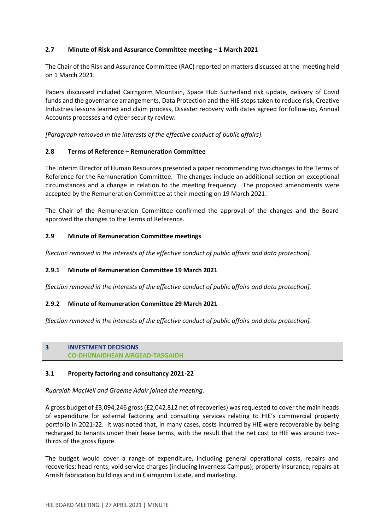## **2.7 Minute of Risk and Assurance Committee meeting – 1 March 2021**

The Chair of the Risk and Assurance Committee (RAC) reported on matters discussed at the meeting held on 1 March 2021.

Papers discussed included Cairngorm Mountain, Space Hub Sutherland risk update, delivery of Covid funds and the governance arrangements, Data Protection and the HIE steps taken to reduce risk, Creative Industries lessons learned and claim process, Disaster recovery with dates agreed for follow-up, Annual Accounts processes and cyber security review.

*[Paragraph removed in the interests of the effective conduct of public affairs].*

## **2.8 Terms of Reference – Remuneration Committee**

The Interim Director of Human Resources presented a paper recommending two changes to the Terms of Reference for the Remuneration Committee. The changes include an additional section on exceptional circumstances and a change in relation to the meeting frequency. The proposed amendments were accepted by the Remuneration Committee at their meeting on 19 March 2021.

The Chair of the Remuneration Committee confirmed the approval of the changes and the Board approved the changes to the Terms of Reference.

## **2.9 Minute of Remuneration Committee meetings**

*[Section removed in the interests of the effective conduct of public affairs and data protection].*

#### **2.9.1 Minute of Remuneration Committee 19 March 2021**

*[Section removed in the interests of the effective conduct of public affairs and data protection].*

#### **2.9.2 Minute of Remuneration Committee 29 March 2021**

*[Section removed in the interests of the effective conduct of public affairs and data protection].*

## **3 INVESTMENT DECISIONS CO-DHÙNAIDHEAN AIRGEAD-TASGAIDH**

#### **3.1 Property factoring and consultancy 2021-22**

*Ruaraidh MacNeil and Graeme Adair joined the meeting.*

A gross budget of £3,094,246 gross (£2,042,812 net of recoveries) was requested to cover the main heads of expenditure for external factoring and consulting services relating to HIE's commercial property portfolio in 2021-22. It was noted that, in many cases, costs incurred by HIE were recoverable by being recharged to tenants under their lease terms, with the result that the net cost to HIE was around twothirds of the gross figure.

The budget would cover a range of expenditure, including general operational costs, repairs and recoveries; head rents; void service charges (including Inverness Campus); property insurance; repairs at Arnish fabrication buildings and in Cairngorm Estate, and marketing.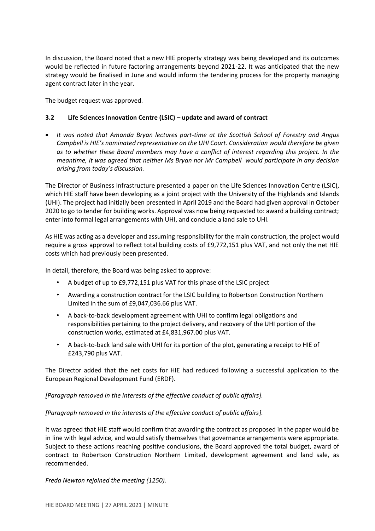In discussion, the Board noted that a new HIE property strategy was being developed and its outcomes would be reflected in future factoring arrangements beyond 2021-22. It was anticipated that the new strategy would be finalised in June and would inform the tendering process for the property managing agent contract later in the year.

The budget request was approved.

# **3.2 Life Sciences Innovation Centre (LSIC) – update and award of contract**

• *It was noted that Amanda Bryan lectures part-time at the Scottish School of Forestry and Angus Campbell is HIE's nominated representative on the UHI Court. Consideration would therefore be given as to whether these Board members may have a conflict of interest regarding this project. In the meantime, it was agreed that neither Ms Bryan nor Mr Campbell would participate in any decision arising from today's discussion.* 

The Director of Business Infrastructure presented a paper on the Life Sciences Innovation Centre (LSIC), which HIE staff have been developing as a joint project with the University of the Highlands and Islands (UHI). The project had initially been presented in April 2019 and the Board had given approval in October 2020 to go to tender for building works. Approval was now being requested to: award a building contract; enter into formal legal arrangements with UHI, and conclude a land sale to UHI.

As HIE was acting as a developer and assuming responsibility for the main construction, the project would require a gross approval to reflect total building costs of £9,772,151 plus VAT, and not only the net HIE costs which had previously been presented.

In detail, therefore, the Board was being asked to approve:

- A budget of up to £9,772,151 plus VAT for this phase of the LSIC project
- Awarding a construction contract for the LSIC building to Robertson Construction Northern Limited in the sum of £9,047,036.66 plus VAT.
- A back-to-back development agreement with UHI to confirm legal obligations and responsibilities pertaining to the project delivery, and recovery of the UHI portion of the construction works, estimated at £4,831,967.00 plus VAT.
- A back-to-back land sale with UHI for its portion of the plot, generating a receipt to HIE of £243,790 plus VAT.

The Director added that the net costs for HIE had reduced following a successful application to the European Regional Development Fund (ERDF).

#### *[Paragraph removed in the interests of the effective conduct of public affairs].*

#### *[Paragraph removed in the interests of the effective conduct of public affairs].*

It was agreed that HIE staff would confirm that awarding the contract as proposed in the paper would be in line with legal advice, and would satisfy themselves that governance arrangements were appropriate. Subject to these actions reaching positive conclusions, the Board approved the total budget, award of contract to Robertson Construction Northern Limited, development agreement and land sale, as recommended.

*Freda Newton rejoined the meeting (1250).*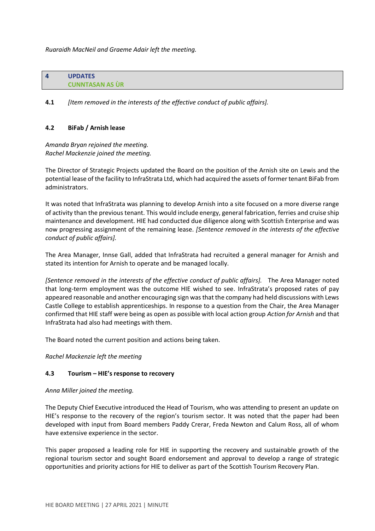*Ruaraidh MacNeil and Graeme Adair left the meeting.*

**4 UPDATES CUNNTASAN AS ÙR**

**4.1** *[Item removed in the interests of the effective conduct of public affairs].*

#### **4.2 BiFab / Arnish lease**

*Amanda Bryan rejoined the meeting. Rachel Mackenzie joined the meeting.*

The Director of Strategic Projects updated the Board on the position of the Arnish site on Lewis and the potential lease of the facility to InfraStrata Ltd, which had acquired the assets of former tenant BiFab from administrators.

It was noted that InfraStrata was planning to develop Arnish into a site focused on a more diverse range of activity than the previous tenant. This would include energy, general fabrication, ferries and cruise ship maintenance and development. HIE had conducted due diligence along with Scottish Enterprise and was now progressing assignment of the remaining lease. *[Sentence removed in the interests of the effective conduct of public affairs].*

The Area Manager, Innse Gall, added that InfraStrata had recruited a general manager for Arnish and stated its intention for Arnish to operate and be managed locally.

*[Sentence removed in the interests of the effective conduct of public affairs].* The Area Manager noted that long-term employment was the outcome HIE wished to see. InfraStrata's proposed rates of pay appeared reasonable and another encouraging sign was that the company had held discussions with Lews Castle College to establish apprenticeships. In response to a question from the Chair, the Area Manager confirmed that HIE staff were being as open as possible with local action group *Action for Arnish* and that InfraStrata had also had meetings with them.

The Board noted the current position and actions being taken.

*Rachel Mackenzie left the meeting*

#### **4.3 Tourism – HIE's response to recovery**

*Anna Miller joined the meeting.*

The Deputy Chief Executive introduced the Head of Tourism, who was attending to present an update on HIE's response to the recovery of the region's tourism sector. It was noted that the paper had been developed with input from Board members Paddy Crerar, Freda Newton and Calum Ross, all of whom have extensive experience in the sector.

This paper proposed a leading role for HIE in supporting the recovery and sustainable growth of the regional tourism sector and sought Board endorsement and approval to develop a range of strategic opportunities and priority actions for HIE to deliver as part of the Scottish Tourism Recovery Plan.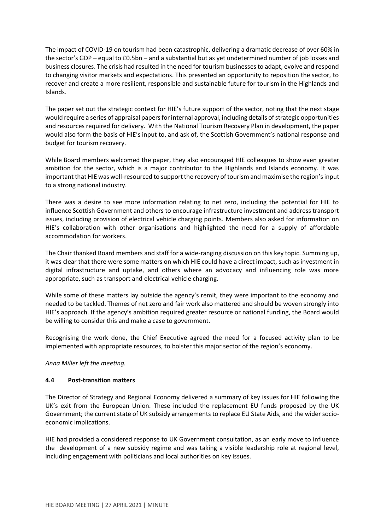The impact of COVID-19 on tourism had been catastrophic, delivering a dramatic decrease of over 60% in the sector's GDP – equal to £0.5bn – and a substantial but as yet undetermined number of job losses and business closures. The crisis had resulted in the need for tourism businesses to adapt, evolve and respond to changing visitor markets and expectations. This presented an opportunity to reposition the sector, to recover and create a more resilient, responsible and sustainable future for tourism in the Highlands and Islands.

The paper set out the strategic context for HIE's future support of the sector, noting that the next stage would require a series of appraisal papers for internal approval, including details of strategic opportunities and resources required for delivery. With the National Tourism Recovery Plan in development, the paper would also form the basis of HIE's input to, and ask of, the Scottish Government's national response and budget for tourism recovery.

While Board members welcomed the paper, they also encouraged HIE colleagues to show even greater ambition for the sector, which is a major contributor to the Highlands and Islands economy. It was important that HIE was well-resourced to support the recovery of tourism and maximise the region's input to a strong national industry.

There was a desire to see more information relating to net zero, including the potential for HIE to influence Scottish Government and others to encourage infrastructure investment and address transport issues, including provision of electrical vehicle charging points. Members also asked for information on HIE's collaboration with other organisations and highlighted the need for a supply of affordable accommodation for workers.

The Chair thanked Board members and staff for a wide-ranging discussion on this key topic. Summing up, it was clear that there were some matters on which HIE could have a direct impact, such as investment in digital infrastructure and uptake, and others where an advocacy and influencing role was more appropriate, such as transport and electrical vehicle charging.

While some of these matters lay outside the agency's remit, they were important to the economy and needed to be tackled. Themes of net zero and fair work also mattered and should be woven strongly into HIE's approach. If the agency's ambition required greater resource or national funding, the Board would be willing to consider this and make a case to government.

Recognising the work done, the Chief Executive agreed the need for a focused activity plan to be implemented with appropriate resources, to bolster this major sector of the region's economy.

*Anna Miller left the meeting.*

# **4.4 Post-transition matters**

The Director of Strategy and Regional Economy delivered a summary of key issues for HIE following the UK's exit from the European Union. These included the replacement EU funds proposed by the UK Government; the current state of UK subsidy arrangements to replace EU State Aids, and the wider socioeconomic implications.

HIE had provided a considered response to UK Government consultation, as an early move to influence the development of a new subsidy regime and was taking a visible leadership role at regional level, including engagement with politicians and local authorities on key issues.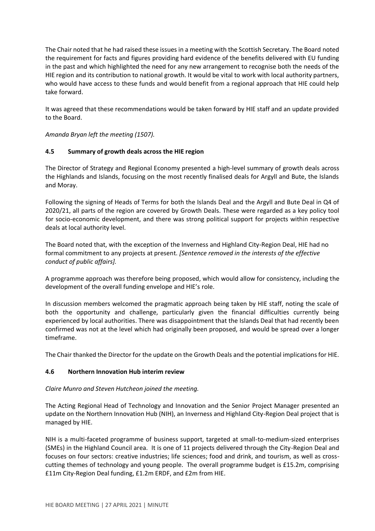The Chair noted that he had raised these issues in a meeting with the Scottish Secretary. The Board noted the requirement for facts and figures providing hard evidence of the benefits delivered with EU funding in the past and which highlighted the need for any new arrangement to recognise both the needs of the HIE region and its contribution to national growth. It would be vital to work with local authority partners, who would have access to these funds and would benefit from a regional approach that HIE could help take forward.

It was agreed that these recommendations would be taken forward by HIE staff and an update provided to the Board.

*Amanda Bryan left the meeting (1507).*

## **4.5 Summary of growth deals across the HIE region**

The Director of Strategy and Regional Economy presented a high-level summary of growth deals across the Highlands and Islands, focusing on the most recently finalised deals for Argyll and Bute, the Islands and Moray.

Following the signing of Heads of Terms for both the Islands Deal and the Argyll and Bute Deal in Q4 of 2020/21, all parts of the region are covered by Growth Deals. These were regarded as a key policy tool for socio-economic development, and there was strong political support for projects within respective deals at local authority level.

The Board noted that, with the exception of the Inverness and Highland City-Region Deal, HIE had no formal commitment to any projects at present. *[Sentence removed in the interests of the effective conduct of public affairs].*

A programme approach was therefore being proposed, which would allow for consistency, including the development of the overall funding envelope and HIE's role.

In discussion members welcomed the pragmatic approach being taken by HIE staff, noting the scale of both the opportunity and challenge, particularly given the financial difficulties currently being experienced by local authorities. There was disappointment that the Islands Deal that had recently been confirmed was not at the level which had originally been proposed, and would be spread over a longer timeframe.

The Chair thanked the Director for the update on the Growth Deals and the potential implications for HIE.

#### **4.6 Northern Innovation Hub interim review**

# *Claire Munro and Steven Hutcheon joined the meeting.*

The Acting Regional Head of Technology and Innovation and the Senior Project Manager presented an update on the Northern Innovation Hub (NIH), an Inverness and Highland City-Region Deal project that is managed by HIE.

NIH is a multi-faceted programme of business support, targeted at small-to-medium-sized enterprises (SMEs) in the Highland Council area. It is one of 11 projects delivered through the City-Region Deal and focuses on four sectors: creative industries; life sciences; food and drink, and tourism, as well as crosscutting themes of technology and young people. The overall programme budget is £15.2m, comprising £11m City-Region Deal funding, £1.2m ERDF, and £2m from HIE.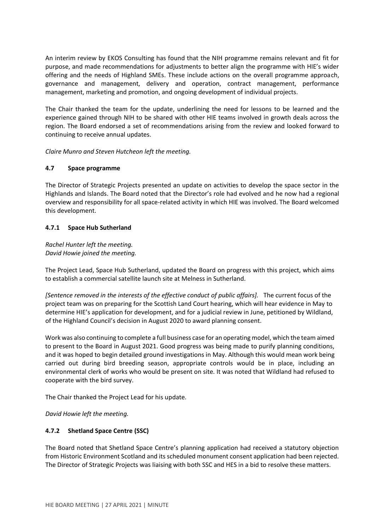An interim review by EKOS Consulting has found that the NIH programme remains relevant and fit for purpose, and made recommendations for adjustments to better align the programme with HIE's wider offering and the needs of Highland SMEs. These include actions on the overall programme approach, governance and management, delivery and operation, contract management, performance management, marketing and promotion, and ongoing development of individual projects.

The Chair thanked the team for the update, underlining the need for lessons to be learned and the experience gained through NIH to be shared with other HIE teams involved in growth deals across the region. The Board endorsed a set of recommendations arising from the review and looked forward to continuing to receive annual updates.

*Claire Munro and Steven Hutcheon left the meeting.*

## **4.7 Space programme**

The Director of Strategic Projects presented an update on activities to develop the space sector in the Highlands and Islands. The Board noted that the Director's role had evolved and he now had a regional overview and responsibility for all space-related activity in which HIE was involved. The Board welcomed this development.

## **4.7.1 Space Hub Sutherland**

## *Rachel Hunter left the meeting. David Howie joined the meeting.*

The Project Lead, Space Hub Sutherland, updated the Board on progress with this project, which aims to establish a commercial satellite launch site at Melness in Sutherland.

*[Sentence removed in the interests of the effective conduct of public affairs].* The current focus of the project team was on preparing for the Scottish Land Court hearing, which will hear evidence in May to determine HIE's application for development, and for a judicial review in June, petitioned by Wildland, of the Highland Council's decision in August 2020 to award planning consent.

Work was also continuing to complete a full business case for an operating model, which the team aimed to present to the Board in August 2021. Good progress was being made to purify planning conditions, and it was hoped to begin detailed ground investigations in May. Although this would mean work being carried out during bird breeding season, appropriate controls would be in place, including an environmental clerk of works who would be present on site. It was noted that Wildland had refused to cooperate with the bird survey.

The Chair thanked the Project Lead for his update.

*David Howie left the meeting.*

# **4.7.2 Shetland Space Centre (SSC)**

The Board noted that Shetland Space Centre's planning application had received a statutory objection from Historic Environment Scotland and its scheduled monument consent application had been rejected. The Director of Strategic Projects was liaising with both SSC and HES in a bid to resolve these matters.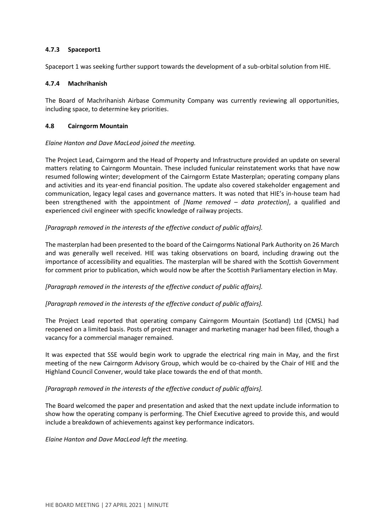### **4.7.3 Spaceport1**

Spaceport 1 was seeking further support towards the development of a sub-orbital solution from HIE.

### **4.7.4 Machrihanish**

The Board of Machrihanish Airbase Community Company was currently reviewing all opportunities, including space, to determine key priorities.

### **4.8 Cairngorm Mountain**

## *Elaine Hanton and Dave MacLeod joined the meeting.*

The Project Lead, Cairngorm and the Head of Property and Infrastructure provided an update on several matters relating to Cairngorm Mountain. These included funicular reinstatement works that have now resumed following winter; development of the Cairngorm Estate Masterplan; operating company plans and activities and its year-end financial position. The update also covered stakeholder engagement and communication, legacy legal cases and governance matters. It was noted that HIE's in-house team had been strengthened with the appointment of *[Name removed – data protection]*, a qualified and experienced civil engineer with specific knowledge of railway projects.

*[Paragraph removed in the interests of the effective conduct of public affairs].*

The masterplan had been presented to the board of the Cairngorms National Park Authority on 26 March and was generally well received. HIE was taking observations on board, including drawing out the importance of accessibility and equalities. The masterplan will be shared with the Scottish Government for comment prior to publication, which would now be after the Scottish Parliamentary election in May.

*[Paragraph removed in the interests of the effective conduct of public affairs].*

*[Paragraph removed in the interests of the effective conduct of public affairs].*

The Project Lead reported that operating company Cairngorm Mountain (Scotland) Ltd (CMSL) had reopened on a limited basis. Posts of project manager and marketing manager had been filled, though a vacancy for a commercial manager remained.

It was expected that SSE would begin work to upgrade the electrical ring main in May, and the first meeting of the new Cairngorm Advisory Group, which would be co-chaired by the Chair of HIE and the Highland Council Convener, would take place towards the end of that month.

*[Paragraph removed in the interests of the effective conduct of public affairs].*

The Board welcomed the paper and presentation and asked that the next update include information to show how the operating company is performing. The Chief Executive agreed to provide this, and would include a breakdown of achievements against key performance indicators.

*Elaine Hanton and Dave MacLeod left the meeting.*